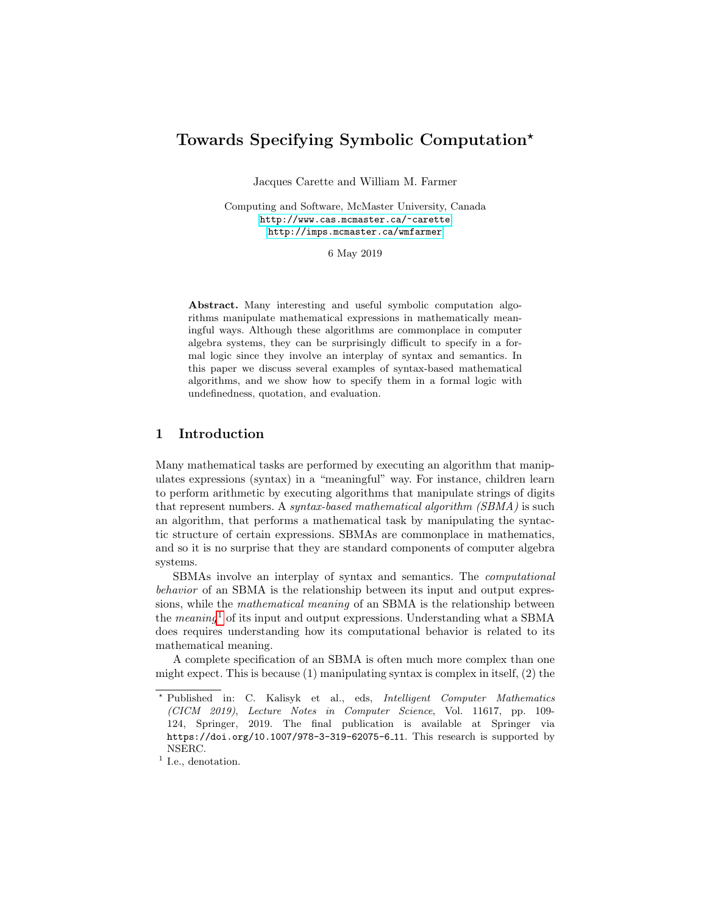# Towards Specifying Symbolic Computation?

Jacques Carette and William M. Farmer

Computing and Software, McMaster University, Canada <http://www.cas.mcmaster.ca/~carette> <http://imps.mcmaster.ca/wmfarmer>

6 May 2019

Abstract. Many interesting and useful symbolic computation algorithms manipulate mathematical expressions in mathematically meaningful ways. Although these algorithms are commonplace in computer algebra systems, they can be surprisingly difficult to specify in a formal logic since they involve an interplay of syntax and semantics. In this paper we discuss several examples of syntax-based mathematical algorithms, and we show how to specify them in a formal logic with undefinedness, quotation, and evaluation.

# 1 Introduction

Many mathematical tasks are performed by executing an algorithm that manipulates expressions (syntax) in a "meaningful" way. For instance, children learn to perform arithmetic by executing algorithms that manipulate strings of digits that represent numbers. A syntax-based mathematical algorithm (SBMA) is such an algorithm, that performs a mathematical task by manipulating the syntactic structure of certain expressions. SBMAs are commonplace in mathematics, and so it is no surprise that they are standard components of computer algebra systems.

SBMAs involve an interplay of syntax and semantics. The computational behavior of an SBMA is the relationship between its input and output expressions, while the mathematical meaning of an SBMA is the relationship between the *meaning*<sup>[1](#page-0-0)</sup> of its input and output expressions. Understanding what a SBMA does requires understanding how its computational behavior is related to its mathematical meaning.

A complete specification of an SBMA is often much more complex than one might expect. This is because  $(1)$  manipulating syntax is complex in itself,  $(2)$  the

<sup>?</sup> Published in: C. Kalisyk et al., eds, Intelligent Computer Mathematics (CICM 2019), Lecture Notes in Computer Science, Vol. 11617, pp. 109- 124, Springer, 2019. The final publication is available at Springer via https://doi.org/10.1007/978-3-319-62075-6 11. This research is supported by NSERC.

<span id="page-0-0"></span><sup>&</sup>lt;sup>1</sup> I.e., denotation.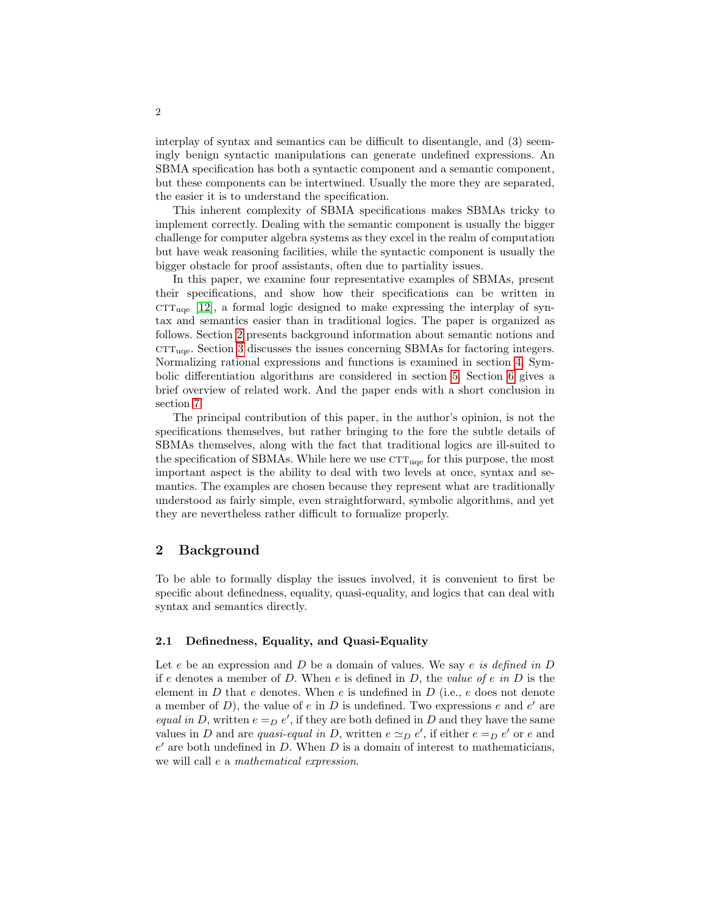interplay of syntax and semantics can be difficult to disentangle, and (3) seemingly benign syntactic manipulations can generate undefined expressions. An SBMA specification has both a syntactic component and a semantic component, but these components can be intertwined. Usually the more they are separated, the easier it is to understand the specification.

This inherent complexity of SBMA specifications makes SBMAs tricky to implement correctly. Dealing with the semantic component is usually the bigger challenge for computer algebra systems as they excel in the realm of computation but have weak reasoning facilities, while the syntactic component is usually the bigger obstacle for proof assistants, often due to partiality issues.

In this paper, we examine four representative examples of SBMAs, present their specifications, and show how their specifications can be written in  $CTT_{\text{ice}}$  [\[12\]](#page-15-0), a formal logic designed to make expressing the interplay of syntax and semantics easier than in traditional logics. The paper is organized as follows. Section [2](#page-1-0) presents background information about semantic notions and  $\text{CTT}_{\text{uqe}}$ . Section [3](#page-3-0) discusses the issues concerning SBMAs for factoring integers. Normalizing rational expressions and functions is examined in section [4.](#page-5-0) Symbolic differentiation algorithms are considered in section [5.](#page-10-0) Section [6](#page-13-0) gives a brief overview of related work. And the paper ends with a short conclusion in section [7.](#page-13-1)

The principal contribution of this paper, in the author's opinion, is not the specifications themselves, but rather bringing to the fore the subtle details of SBMAs themselves, along with the fact that traditional logics are ill-suited to the specification of SBMAs. While here we use  $\text{CTT}_{\text{uqe}}$  for this purpose, the most important aspect is the ability to deal with two levels at once, syntax and semantics. The examples are chosen because they represent what are traditionally understood as fairly simple, even straightforward, symbolic algorithms, and yet they are nevertheless rather difficult to formalize properly.

## <span id="page-1-0"></span>2 Background

To be able to formally display the issues involved, it is convenient to first be specific about definedness, equality, quasi-equality, and logics that can deal with syntax and semantics directly.

## 2.1 Definedness, Equality, and Quasi-Equality

Let  $e$  be an expression and  $D$  be a domain of values. We say  $e$  is defined in  $D$ if e denotes a member of D. When  $e$  is defined in D, the *value of e in* D is the element in  $D$  that  $e$  denotes. When  $e$  is undefined in  $D$  (i.e.,  $e$  does not denote a member of  $D$ ), the value of  $e$  in  $D$  is undefined. Two expressions  $e$  and  $e'$  are equal in D, written  $e =_D e'$ , if they are both defined in D and they have the same values in D and are quasi-equal in D, written  $e \simeq_D e'$ , if either  $e =_D e'$  or e and  $e'$  are both undefined in  $D$ . When  $D$  is a domain of interest to mathematicians, we will call e a mathematical expression.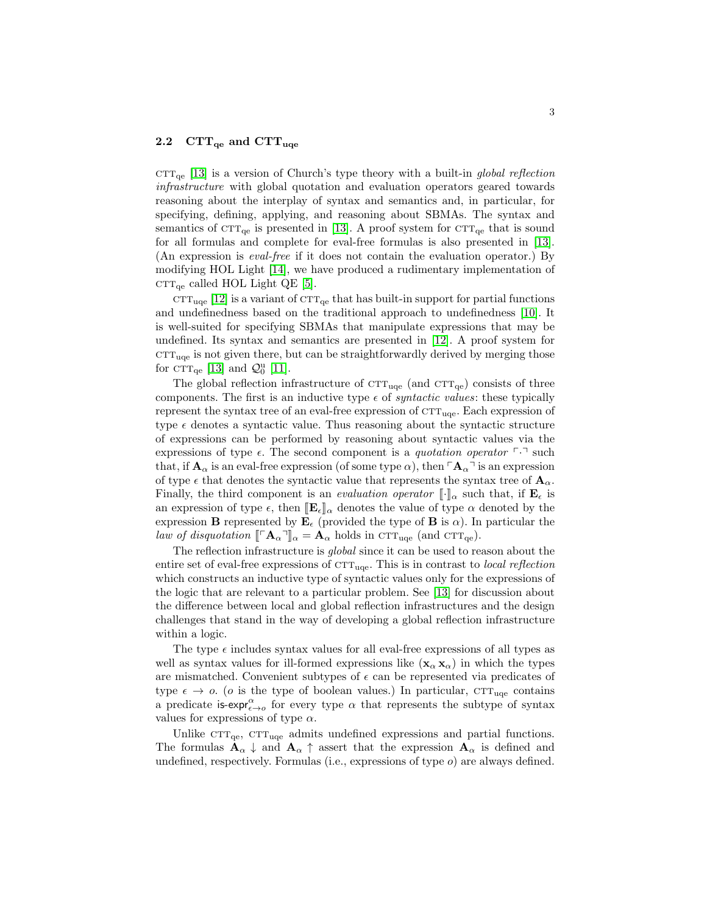#### 2.2  $\text{CTT}_{\text{qe}}$  and  $\text{CTT}_{\text{uqe}}$

 $\text{CTT}_{\text{ce}}$  [\[13\]](#page-15-1) is a version of Church's type theory with a built-in global reflection infrastructure with global quotation and evaluation operators geared towards reasoning about the interplay of syntax and semantics and, in particular, for specifying, defining, applying, and reasoning about SBMAs. The syntax and semantics of  $\text{CTT}_{\text{qe}}$  is presented in [\[13\]](#page-15-1). A proof system for  $\text{CTT}_{\text{qe}}$  that is sound for all formulas and complete for eval-free formulas is also presented in [\[13\]](#page-15-1). (An expression is eval-free if it does not contain the evaluation operator.) By modifying HOL Light [\[14\]](#page-15-2), we have produced a rudimentary implementation of  $CTT_{qe}$  called HOL Light QE [\[5\]](#page-14-0).

 $\text{CTT}_{\text{uqe}}$  [\[12\]](#page-15-0) is a variant of  $\text{CTT}_{\text{qe}}$  that has built-in support for partial functions and undefinedness based on the traditional approach to undefinedness [\[10\]](#page-14-1). It is well-suited for specifying SBMAs that manipulate expressions that may be undefined. Its syntax and semantics are presented in [\[12\]](#page-15-0). A proof system for  $\text{CTT}_{\text{uqe}}$  is not given there, but can be straightforwardly derived by merging those for  $\text{CTT}_{\text{qe}}$  [\[13\]](#page-15-1) and  $\mathcal{Q}_0^{\text{u}}$  [\[11\]](#page-15-3).

The global reflection infrastructure of  $\text{CTT}_{\text{uqe}}$  (and  $\text{CTT}_{\text{qe}}$ ) consists of three components. The first is an inductive type  $\epsilon$  of *syntactic values*: these typically represent the syntax tree of an eval-free expression of  $CTT_{uqe}$ . Each expression of type  $\epsilon$  denotes a syntactic value. Thus reasoning about the syntactic structure of expressions can be performed by reasoning about syntactic values via the expressions of type  $\epsilon$ . The second component is a *quotation operator*  $\lceil \cdot \rceil$  such that, if  $\mathbf{A}_{\alpha}$  is an eval-free expression (of some type  $\alpha$ ), then  $\lceil \mathbf{A}_{\alpha} \rceil$  is an expression of type  $\epsilon$  that denotes the syntactic value that represents the syntax tree of  $\mathbf{A}_{\alpha}$ . Finally, the third component is an *evaluation operator*  $\llbracket \cdot \rrbracket_{\alpha}$  such that, if  $\mathbf{E}_{\epsilon}$  is an expression of type  $\epsilon$ , then  $\mathbb{E}_{\epsilon}\mathbb{I}_{\alpha}$  denotes the value of type  $\alpha$  denoted by the expression **B** represented by  $\mathbf{E}_{\epsilon}$  (provided the type of **B** is  $\alpha$ ). In particular the law of disquotation  $\llbracket \ulcorner \mathbf{A}_{\alpha} \urcorner \rrbracket_{\alpha} = \mathbf{A}_{\alpha}$  holds in  $\text{CTT}_{\text{uqe}}$  (and  $\text{CTT}_{\text{qe}}$ ).

The reflection infrastructure is global since it can be used to reason about the entire set of eval-free expressions of  $\text{CTT}_{\text{uqe}}$ . This is in contrast to *local reflection* which constructs an inductive type of syntactic values only for the expressions of the logic that are relevant to a particular problem. See [\[13\]](#page-15-1) for discussion about the difference between local and global reflection infrastructures and the design challenges that stand in the way of developing a global reflection infrastructure within a logic.

The type  $\epsilon$  includes syntax values for all eval-free expressions of all types as well as syntax values for ill-formed expressions like  $(\mathbf{x}_{\alpha}, \mathbf{x}_{\alpha})$  in which the types are mismatched. Convenient subtypes of  $\epsilon$  can be represented via predicates of type  $\epsilon \to o$ . (*o* is the type of boolean values.) In particular, CTT<sub>uqe</sub> contains a predicate is-expr $_{\epsilon\to o}^{\alpha}$  for every type  $\alpha$  that represents the subtype of syntax values for expressions of type  $\alpha$ .

Unlike  $\text{CTT}_{\text{qe}}$ ,  $\text{CTT}_{\text{uqe}}$  admits undefined expressions and partial functions. The formulas  $A_{\alpha} \downarrow$  and  $A_{\alpha} \uparrow$  assert that the expression  $A_{\alpha}$  is defined and undefined, respectively. Formulas (i.e., expressions of type  $o$ ) are always defined.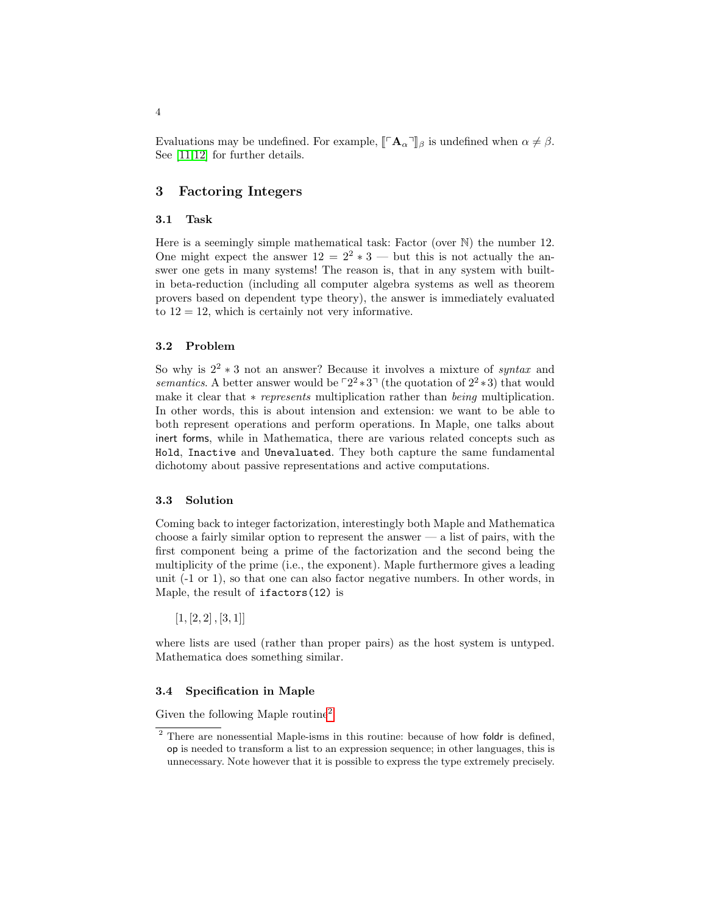Evaluations may be undefined. For example,  $\llbracket \ulcorner \mathbf{A}_{\alpha} \urcorner \rrbracket_{\beta}$  is undefined when  $\alpha \neq \beta$ . See [\[11](#page-15-3)[,12\]](#page-15-0) for further details.

## <span id="page-3-0"></span>3 Factoring Integers

#### 3.1 Task

Here is a seemingly simple mathematical task: Factor (over  $\mathbb N$ ) the number 12. One might expect the answer  $12 = 2^2 * 3$  — but this is not actually the answer one gets in many systems! The reason is, that in any system with builtin beta-reduction (including all computer algebra systems as well as theorem provers based on dependent type theory), the answer is immediately evaluated to  $12 = 12$ , which is certainly not very informative.

#### 3.2 Problem

So why is  $2^2 * 3$  not an answer? Because it involves a mixture of syntax and semantics. A better answer would be  $\lceil 2^2 \cdot 3 \rceil$  (the quotation of  $2^2 \cdot 3$ ) that would make it clear that *∗ represents* multiplication rather than *being* multiplication. In other words, this is about intension and extension: we want to be able to both represent operations and perform operations. In Maple, one talks about inert forms, while in Mathematica, there are various related concepts such as Hold, Inactive and Unevaluated. They both capture the same fundamental dichotomy about passive representations and active computations.

#### 3.3 Solution

Coming back to integer factorization, interestingly both Maple and Mathematica choose a fairly similar option to represent the answer  $-$  a list of pairs, with the first component being a prime of the factorization and the second being the multiplicity of the prime (i.e., the exponent). Maple furthermore gives a leading unit (-1 or 1), so that one can also factor negative numbers. In other words, in Maple, the result of ifactors(12) is

 $[1, [2, 2], [3, 1]]$ 

where lists are used (rather than proper pairs) as the host system is untyped. Mathematica does something similar.

### 3.4 Specification in Maple

Given the following Maple routine[2](#page-3-1)

<span id="page-3-1"></span><sup>&</sup>lt;sup>2</sup> There are nonessential Maple-isms in this routine: because of how foldr is defined, op is needed to transform a list to an expression sequence; in other languages, this is unnecessary. Note however that it is possible to express the type extremely precisely.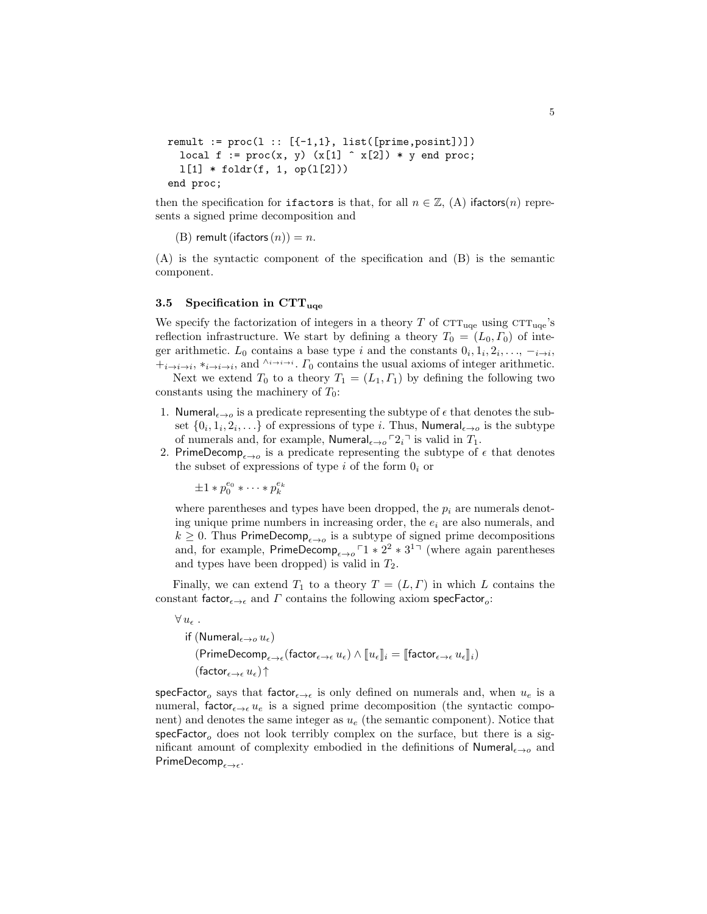```
remult := proc(1 :: [{-1,1}, { list([prime,posit)}])local f := proc(x, y) (x[1] \cap x[2]) * y end proc;
1[1] * foldr(f, 1, op(1[2]))end proc;
```
then the specification for ifactors is that, for all  $n \in \mathbb{Z}$ , (A) ifactors(n) represents a signed prime decomposition and

```
(B) remult (ifactors (n)) = n.
```
(A) is the syntactic component of the specification and (B) is the semantic component.

## 3.5 Specification in  $\text{CTT}_{\text{uqe}}$

We specify the factorization of integers in a theory T of  $\mathrm{CTT}_{\text{uqe}}$  using  $\mathrm{CTT}_{\text{uqe}}$ 's reflection infrastructure. We start by defining a theory  $T_0 = (L_0, \Gamma_0)$  of integer arithmetic. L<sub>0</sub> contains a base type i and the constants  $0_i, 1_i, 2_i, \ldots, -i \rightarrow i$ ,  $+_{i\to i\to i}, *_{i\to i\to i}$ , and  $\wedge_{i\to i\to i}$ .  $\Gamma_0$  contains the usual axioms of integer arithmetic.

Next we extend  $T_0$  to a theory  $T_1 = (L_1, \Gamma_1)$  by defining the following two constants using the machinery of  $T_0$ :

- 1. Numeral<sub> $\epsilon \rightarrow o$ </sub> is a predicate representing the subtype of  $\epsilon$  that denotes the subset  $\{0_i, 1_i, 2_i, \ldots\}$  of expressions of type *i*. Thus, Numeral<sub> $\epsilon \rightarrow o$ </sub> is the subtype of numerals and, for example, Numeral<sub> $\epsilon \rightarrow 0$ </sub>  $2_i$ <sup> $\bar{2}$ </sup> is valid in  $T_1$ .
- 2. PrimeDecomp<sub> $\epsilon \rightarrow o$ </sub> is a predicate representing the subtype of  $\epsilon$  that denotes the subset of expressions of type  $i$  of the form  $0_i$  or

 $\pm 1 * p_0^{e_0} * \cdots * p_k^{e_k}$ 

where parentheses and types have been dropped, the  $p_i$  are numerals denoting unique prime numbers in increasing order, the  $e_i$  are also numerals, and  $k \geq 0$ . Thus PrimeDecomp<sub> $\epsilon \rightarrow o$ </sub> is a subtype of signed prime decompositions and, for example, PrimeDecomp<sub> $\epsilon \rightarrow 0$ </sub>  $\lceil 1 * 2^2 * 3^{1} \rceil$  (where again parentheses and types have been dropped) is valid in  $T_2$ .

Finally, we can extend  $T_1$  to a theory  $T = (L, \Gamma)$  in which L contains the constant factor $_{\epsilon \to \epsilon}$  and  $\Gamma$  contains the following axiom specFactor<sub>o</sub>:

```
\forall u_{\epsilon} .
      if (Numeral_{\epsilon\rightarrow o} u_{\epsilon})
              (\mathsf{PrimeDecomp}_{\epsilon \to \epsilon}(\mathsf{factor}_{\epsilon \to \epsilon} \, u_\epsilon) \wedge \llbracket u_\epsilon \rrbracket_i = \llbracket \mathsf{factor}_{\epsilon \to \epsilon} \, u_\epsilon \rrbracket_i)(factor_{\epsilon\rightarrow\epsilon}u_{\epsilon})↑
```
 ${\sf specFactor}_o$  says that  ${\sf factor}_{\epsilon\to\epsilon}$  is only defined on numerals and, when  $u_e$  is a numeral, factor<sub> $\epsilon \rightarrow \epsilon u_e$ </sub> is a signed prime decomposition (the syntactic component) and denotes the same integer as  $u_e$  (the semantic component). Notice that specFactor<sub>o</sub> does not look terribly complex on the surface, but there is a significant amount of complexity embodied in the definitions of  $\textsf{Numeri}_{\epsilon\to o}$  and  $\mathsf{PrimeDecomp}_{\epsilon \to \epsilon}$ .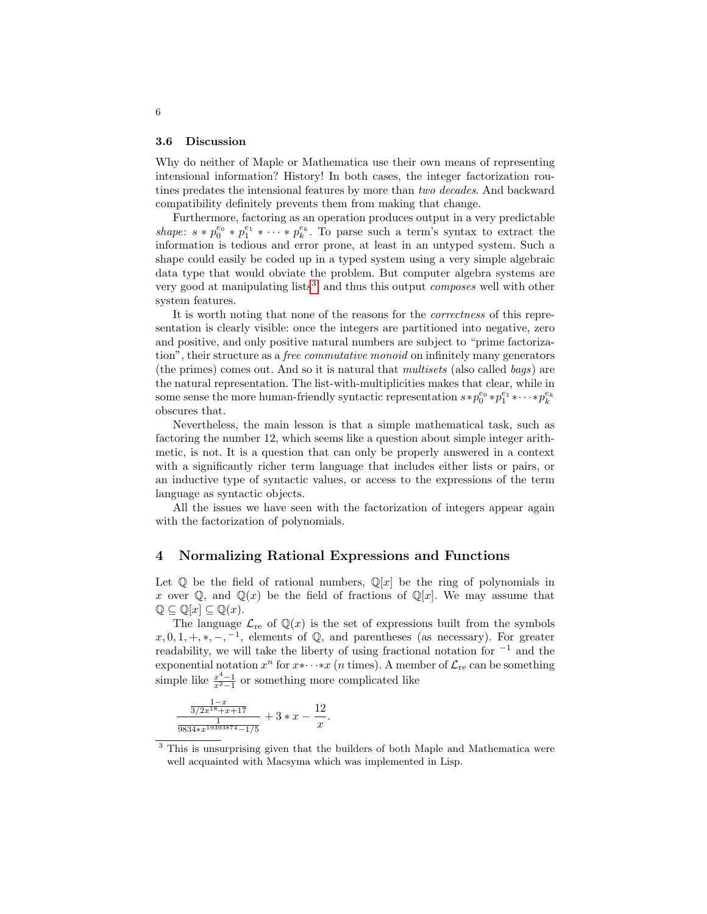#### 3.6 Discussion

Why do neither of Maple or Mathematica use their own means of representing intensional information? History! In both cases, the integer factorization routines predates the intensional features by more than two decades. And backward compatibility definitely prevents them from making that change.

Furthermore, factoring as an operation produces output in a very predictable shape:  $s * p_0^{e_0} * p_1^{e_1} * \cdots * p_k^{e_k}$ . To parse such a term's syntax to extract the information is tedious and error prone, at least in an untyped system. Such a shape could easily be coded up in a typed system using a very simple algebraic data type that would obviate the problem. But computer algebra systems are very good at manipulating lists<sup>[3](#page-5-1)</sup>, and thus this output *composes* well with other system features.

It is worth noting that none of the reasons for the correctness of this representation is clearly visible: once the integers are partitioned into negative, zero and positive, and only positive natural numbers are subject to "prime factorization", their structure as a *free commutative monoid* on infinitely many generators (the primes) comes out. And so it is natural that multisets (also called bags) are the natural representation. The list-with-multiplicities makes that clear, while in some sense the more human-friendly syntactic representation  $s * p_0^{e_0} * p_1^{e_1} * \cdots * p_k^{e_k}$ obscures that.

Nevertheless, the main lesson is that a simple mathematical task, such as factoring the number 12, which seems like a question about simple integer arithmetic, is not. It is a question that can only be properly answered in a context with a significantly richer term language that includes either lists or pairs, or an inductive type of syntactic values, or access to the expressions of the term language as syntactic objects.

All the issues we have seen with the factorization of integers appear again with the factorization of polynomials.

## <span id="page-5-0"></span>4 Normalizing Rational Expressions and Functions

Let  $\mathbb Q$  be the field of rational numbers,  $\mathbb Q[x]$  be the ring of polynomials in x over Q, and Q(x) be the field of fractions of Q[x]. We may assume that  $\mathbb{Q} \subseteq \mathbb{Q}[x] \subseteq \mathbb{Q}(x)$ .

The language  $\mathcal{L}_{\text{re}}$  of  $\mathbb{Q}(x)$  is the set of expressions built from the symbols  $x, 0, 1, +, *,-, ^{-1}$ , elements of Q, and parentheses (as necessary). For greater readability, we will take the liberty of using fractional notation for  $^{-1}$  and the exponential notation  $x^n$  for  $x \cdots x$  (*n* times). A member of  $\mathcal{L}_{re}$  can be something simple like  $\frac{x^4-1}{x^2-1}$  or something more complicated like

$$
\frac{\frac{1-x}{3/2x^{18}+x+17}}{\frac{1}{9834*x^{19393874}-1/5}}+3*x-\frac{12}{x}.
$$

<span id="page-5-1"></span><sup>&</sup>lt;sup>3</sup> This is unsurprising given that the builders of both Maple and Mathematica were well acquainted with Macsyma which was implemented in Lisp.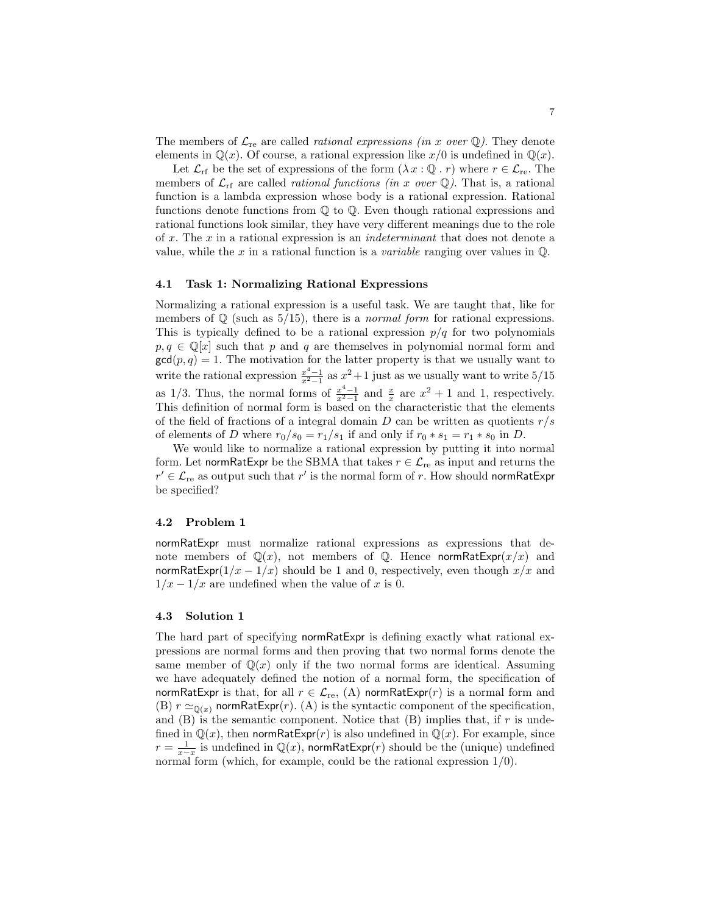The members of  $\mathcal{L}_{\text{re}}$  are called *rational expressions (in x over* Q). They denote elements in  $\mathbb{Q}(x)$ . Of course, a rational expression like  $x/0$  is undefined in  $\mathbb{Q}(x)$ .

Let  $\mathcal{L}_{\text{rf}}$  be the set of expressions of the form  $(\lambda x : \mathbb{Q} \cdot r)$  where  $r \in \mathcal{L}_{\text{re}}$ . The members of  $\mathcal{L}_{\text{rf}}$  are called *rational functions (in x over*  $\mathbb{Q}$ ). That is, a rational function is a lambda expression whose body is a rational expression. Rational functions denote functions from Q to Q. Even though rational expressions and rational functions look similar, they have very different meanings due to the role of x. The x in a rational expression is an *indeterminant* that does not denote a value, while the x in a rational function is a *variable* ranging over values in  $\mathbb{Q}$ .

#### 4.1 Task 1: Normalizing Rational Expressions

Normalizing a rational expression is a useful task. We are taught that, like for members of  $\mathbb Q$  (such as 5/15), there is a *normal form* for rational expressions. This is typically defined to be a rational expression  $p/q$  for two polynomials  $p, q \in \mathbb{Q}[x]$  such that p and q are themselves in polynomial normal form and  $gcd(p, q) = 1$ . The motivation for the latter property is that we usually want to write the rational expression  $\frac{x^4-1}{x^2-1}$  as  $x^2+1$  just as we usually want to write  $5/15$ as 1/3. Thus, the normal forms of  $\frac{x^4-1}{x^2-1}$  and  $\frac{x}{x}$  are  $x^2+1$  and 1, respectively. This definition of normal form is based on the characteristic that the elements of the field of fractions of a integral domain  $D$  can be written as quotients  $r/s$ of elements of D where  $r_0/s_0 = r_1/s_1$  if and only if  $r_0 * s_1 = r_1 * s_0$  in D.

We would like to normalize a rational expression by putting it into normal form. Let normRatExpr be the SBMA that takes  $r \in \mathcal{L}_{\text{re}}$  as input and returns the  $r' \in \mathcal{L}_{\text{re}}$  as output such that  $r'$  is the normal form of  $r$ . How should normRatExpr be specified?

#### 4.2 Problem 1

normRatExpr must normalize rational expressions as expressions that denote members of  $\mathbb{Q}(x)$ , not members of  $\mathbb{Q}$ . Hence normRatExpr $(x/x)$  and normRatExpr( $1/x - 1/x$ ) should be 1 and 0, respectively, even though  $x/x$  and  $1/x - 1/x$  are undefined when the value of x is 0.

### 4.3 Solution 1

The hard part of specifying normRatExpr is defining exactly what rational expressions are normal forms and then proving that two normal forms denote the same member of  $\mathbb{Q}(x)$  only if the two normal forms are identical. Assuming we have adequately defined the notion of a normal form, the specification of normRatExpr is that, for all  $r \in \mathcal{L}_{\text{re}}$ , (A) normRatExpr(r) is a normal form and (B)  $r \simeq_{\mathbb{Q}(x)}$  normRatExpr(r). (A) is the syntactic component of the specification, and  $(B)$  is the semantic component. Notice that  $(B)$  implies that, if r is undefined in  $\mathbb{Q}(x)$ , then normRatExpr(r) is also undefined in  $\mathbb{Q}(x)$ . For example, since  $r = \frac{1}{x-x}$  is undefined in  $\mathbb{Q}(x)$ , normRatExpr(r) should be the (unique) undefined normal form (which, for example, could be the rational expression  $1/0$ ).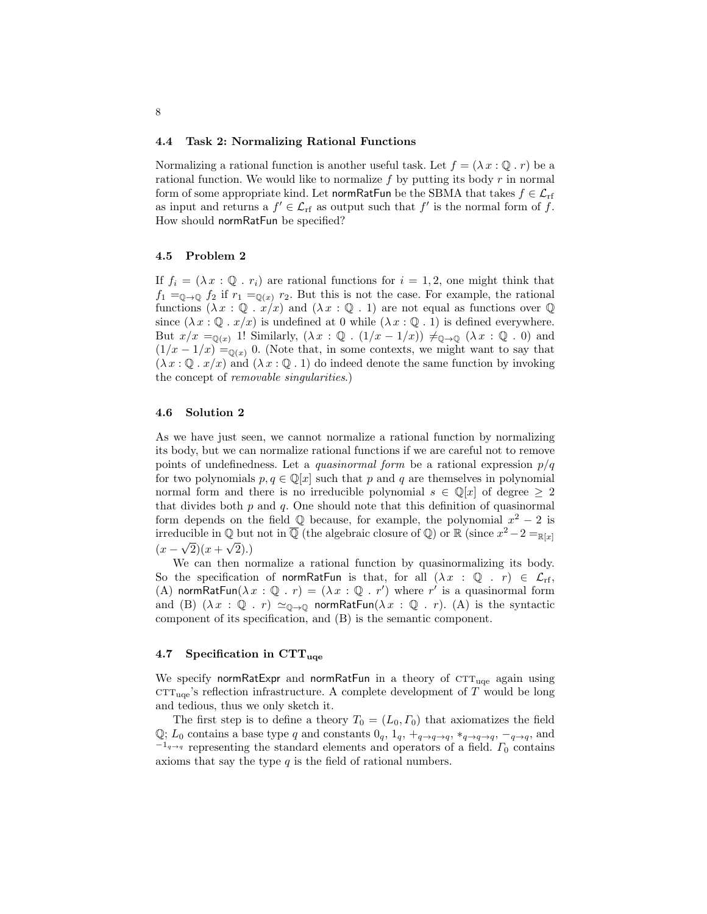#### 4.4 Task 2: Normalizing Rational Functions

Normalizing a rational function is another useful task. Let  $f = (\lambda x : \mathbb{Q} \cdot r)$  be a rational function. We would like to normalize  $f$  by putting its body  $r$  in normal form of some appropriate kind. Let normRatFun be the SBMA that takes  $f \in \mathcal{L}_{rf}$ as input and returns a  $f' \in \mathcal{L}_{\text{rf}}$  as output such that  $f'$  is the normal form of f. How should normRatFun be specified?

#### 4.5 Problem 2

If  $f_i = (\lambda x : \mathbb{Q} : r_i)$  are rational functions for  $i = 1, 2$ , one might think that  $f_1 =_{\mathbb{Q} \to \mathbb{Q}} f_2$  if  $r_1 =_{\mathbb{Q}(x)} r_2$ . But this is not the case. For example, the rational functions  $(\lambda x : \mathbb{Q} : x/x)$  and  $(\lambda x : \mathbb{Q} : 1)$  are not equal as functions over  $\mathbb{Q}$ since  $(\lambda x : \mathbb{Q} \cdot x/x)$  is undefined at 0 while  $(\lambda x : \mathbb{Q} \cdot 1)$  is defined everywhere. But  $x/x =_{\mathbb{Q}(x)} 1!$  Similarly,  $(\lambda x : \mathbb{Q} : (1/x - 1/x)) \neq_{\mathbb{Q} \to \mathbb{Q}} (\lambda x : \mathbb{Q} : 0)$  and  $(1/x - 1/x) =_{\mathbb{Q}(x)} 0$ . (Note that, in some contexts, we might want to say that  $(\lambda x : \mathbb{Q} \cdot x/x)$  and  $(\lambda x : \mathbb{Q} \cdot 1)$  do indeed denote the same function by invoking the concept of removable singularities.)

## 4.6 Solution 2

As we have just seen, we cannot normalize a rational function by normalizing its body, but we can normalize rational functions if we are careful not to remove points of undefinedness. Let a *quasinormal form* be a rational expression  $p/q$ for two polynomials  $p, q \in \mathbb{Q}[x]$  such that p and q are themselves in polynomial normal form and there is no irreducible polynomial  $s \in \mathbb{Q}[x]$  of degree  $\geq 2$ that divides both  $p$  and  $q$ . One should note that this definition of quasinormal form depends on the field  $\mathbb Q$  because, for example, the polynomial  $x^2 - 2$  is irreducible in  $\overline{\mathbb{Q}}$  (the algebraic closure of  $\mathbb{Q}$ ) or  $\mathbb{R}$  (since  $x^2 - 2 =_{\mathbb{R}[x]}$ )  $(x - \sqrt{2})(x + \sqrt{2}).$ 

We can then normalize a rational function by quasinormalizing its body. So the specification of normRatFun is that, for all  $(\lambda x : \mathbb{Q} \cdot r) \in \mathcal{L}_{rf}$ , (A) normRatFun( $\lambda x : \mathbb{Q}$ .  $r$ ) = ( $\lambda x : \mathbb{Q}$ . r') where r' is a quasinormal form and (B)  $(\lambda x : \mathbb{Q} : r) \simeq_{\mathbb{Q} \to \mathbb{Q}}$  normRatFun $(\lambda x : \mathbb{Q} : r)$ . (A) is the syntactic component of its specification, and (B) is the semantic component.

#### 4.7 Specification in  $\text{CTT}_{\text{uae}}$

We specify normRatExpr and normRatFun in a theory of  $CTT_{uqe}$  again using  $\text{CTT}_{\text{uce}}$ 's reflection infrastructure. A complete development of T would be long and tedious, thus we only sketch it.

The first step is to define a theory  $T_0 = (L_0, \Gamma_0)$  that axiomatizes the field  $\mathbb{Q}$ ;  $L_0$  contains a base type q and constants  $0_q$ ,  $1_q$ ,  $+_q \rightarrow q$ ,  $*_q \rightarrow_q$ ,  $-_q \rightarrow_q$ , and  $-1<sub>q→q</sub>$  representing the standard elements and operators of a field.  $\Gamma_0$  contains axioms that say the type  $q$  is the field of rational numbers.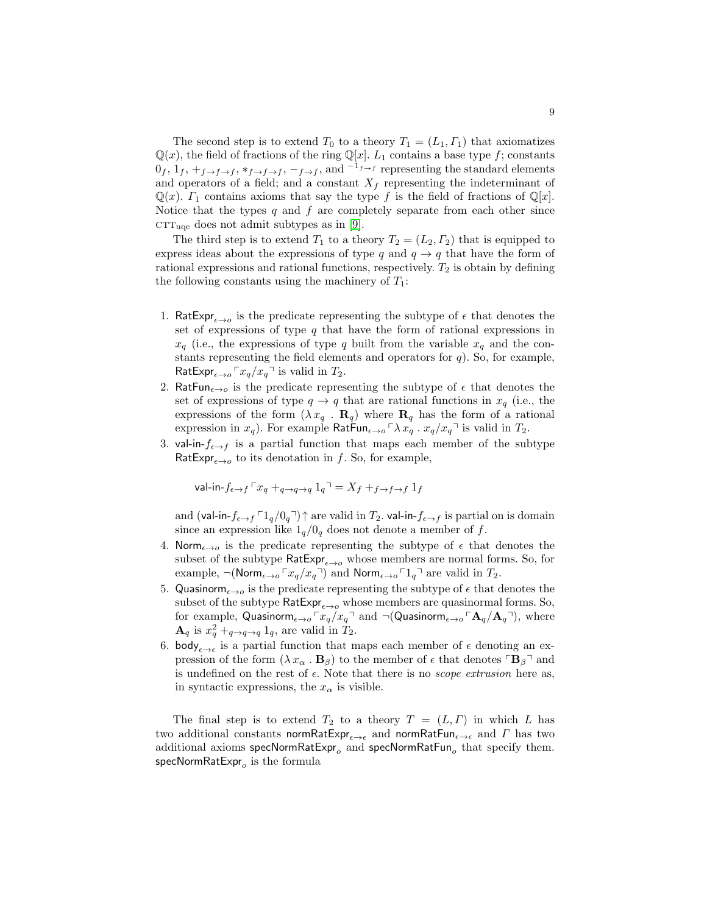The second step is to extend  $T_0$  to a theory  $T_1 = (L_1, \Gamma_1)$  that axiomatizes  $\mathbb{Q}(x)$ , the field of fractions of the ring  $\mathbb{Q}[x]$ .  $L_1$  contains a base type f; constants  $0_f$ ,  $1_f$ ,  $+_{f\rightarrow f\rightarrow f}$ ,  $*_{f\rightarrow f\rightarrow f}$ ,  $-_{f\rightarrow f}$ , and  $-1_{f\rightarrow f}$  representing the standard elements and operators of a field; and a constant  $X_f$  representing the indeterminant of  $\mathbb{Q}(x)$ .  $\Gamma_1$  contains axioms that say the type f is the field of fractions of  $\mathbb{Q}[x]$ . Notice that the types  $q$  and  $f$  are completely separate from each other since  $CTT_{\text{uqe}}$  does not admit subtypes as in [\[9\]](#page-14-2).

The third step is to extend  $T_1$  to a theory  $T_2 = (L_2, \Gamma_2)$  that is equipped to express ideas about the expressions of type q and  $q \rightarrow q$  that have the form of rational expressions and rational functions, respectively.  $T_2$  is obtain by defining the following constants using the machinery of  $T_1$ :

- 1. RatExpr<sub> $\epsilon \rightarrow o$ </sub> is the predicate representing the subtype of  $\epsilon$  that denotes the set of expressions of type  $q$  that have the form of rational expressions in  $x_q$  (i.e., the expressions of type q built from the variable  $x_q$  and the constants representing the field elements and operators for  $q$ ). So, for example, RatExpr<sub> $\epsilon \rightarrow o \rceil x_q/x_q \rceil$  is valid in  $T_2$ .</sub>
- 2. RatFun<sub> $\epsilon \rightarrow o$ </sub> is the predicate representing the subtype of  $\epsilon$  that denotes the set of expressions of type  $q \to q$  that are rational functions in  $x_q$  (i.e., the expressions of the form  $(\lambda x_q \cdot \mathbf{R}_q)$  where  $\mathbf{R}_q$  has the form of a rational expression in  $x_q$ ). For example  $\textsf{RatFun}_{\epsilon \to o} \ulcorner \lambda \, x_q$ .  $x_q/x_q \urcorner$  is valid in  $T_2$ .
- 3. val-in- $f_{\epsilon\rightarrow f}$  is a partial function that maps each member of the subtype RatExpr<sub> $\epsilon \rightarrow o$ </sub> to its denotation in f. So, for example,

$$
\text{val-in-}f_{\epsilon \to f} \ulcorner x_q +_{q \to q \to q} 1_q \urcorner = X_f +_{f \to f \to f} 1_f
$$

and (val-in- $f_{\epsilon\to f}$   $\lceil 1_q/0_q \rceil$ ) $\uparrow$  are valid in  $T_2$ . val-in- $f_{\epsilon\to f}$  is partial on is domain since an expression like  $1_q/0_q$  does not denote a member of f.

- 4. Norm<sub> $\epsilon \rightarrow o$ </sub> is the predicate representing the subtype of  $\epsilon$  that denotes the subset of the subtype RatExpr<sub> $\epsilon \rightarrow o$ </sub> whose members are normal forms. So, for example,  $\neg(\text{Norm}_{\epsilon\to o} \Gamma x_q/x_q)$  and  $\text{Norm}_{\epsilon\to o} \Gamma 1_q$  are valid in  $T_2$ .
- 5. Quasinorm<sub> $\epsilon \rightarrow 0$ </sub> is the predicate representing the subtype of  $\epsilon$  that denotes the subset of the subtype  $\mathsf{RatExpr}_{\epsilon \to o}$  whose members are quasinormal forms. So, for example, Quasinorm<sub> $\epsilon \rightarrow 0$ </sub> $x_q/x_q$ <sup> $\rightarrow$ </sup> and  $\neg$ (Quasinorm $_{\epsilon \rightarrow 0}$  $A_q/A_q$ <sup> $\rightarrow$ </sup>), where  $\mathbf{A}_q$  is  $x_q^2 +_{q \to q \to q} 1_q$ , are valid in  $T_2$ .
- 6. body<sub> $\epsilon \rightarrow \epsilon$ </sub> is a partial function that maps each member of  $\epsilon$  denoting an expression of the form  $(\lambda x_{\alpha} \cdot \mathbf{B}_{\beta})$  to the member of  $\epsilon$  that denotes  $\lceil \mathbf{B}_{\beta} \rceil$  and is undefined on the rest of  $\epsilon$ . Note that there is no *scope extrusion* here as, in syntactic expressions, the  $x_{\alpha}$  is visible.

The final step is to extend  $T_2$  to a theory  $T = (L, \Gamma)$  in which L has two additional constants normRatExpr<sub> $\epsilon \to \epsilon$ </sub> and normRatFun<sub> $\epsilon \to \epsilon$ </sub> and  $\Gamma$  has two additional axioms  $\mathsf{specNormRatExpr}_o$  and  $\mathsf{specNormRatFun}_o$  that  $\mathsf{specify}$  them.  ${\sf specNormRatExpr}_o$  is the formula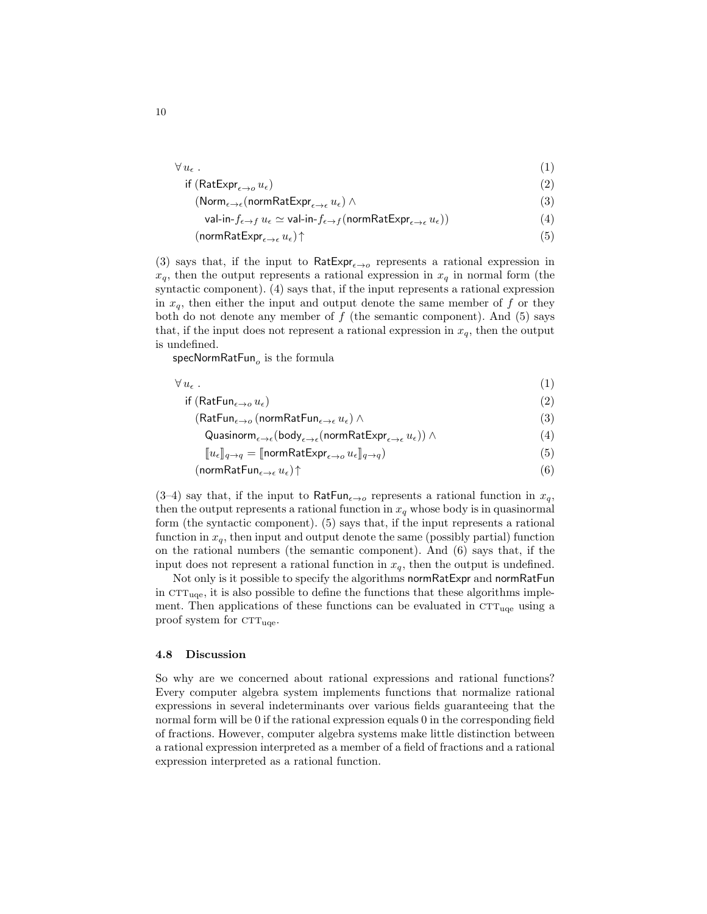$$
\forall u_{\epsilon} . \tag{1}
$$
  
if (RatExpr <sub>$\epsilon \to o$</sub>  u <sub>$\epsilon$</sub> ) \tag{2}

$$
(\text{Norm}_{\epsilon \to \epsilon}(\text{normRatExpr}_{\epsilon \to \epsilon} u_{\epsilon}) \wedge \tag{3}
$$

$$
\mathsf{val-in}\text{-}\mathit{f}_{\epsilon\to f}\,u_{\epsilon}\simeq\mathsf{val-in}\text{-}\mathit{f}_{\epsilon\to f}(\mathsf{normRatExpr}_{\epsilon\to\epsilon}\,u_{\epsilon}))\tag{4}
$$

$$
(\text{normRatExpr}_{\epsilon \to \epsilon} u_{\epsilon}) \uparrow \tag{5}
$$

(3) says that, if the input to  $RatExp_{\epsilon \to o}$  represents a rational expression in  $x_q$ , then the output represents a rational expression in  $x_q$  in normal form (the syntactic component). (4) says that, if the input represents a rational expression in  $x_q$ , then either the input and output denote the same member of f or they both do not denote any member of  $f$  (the semantic component). And (5) says that, if the input does not represent a rational expression in  $x_q$ , then the output is undefined.

 ${\sf specNormRatFun}_o$  is the formula

| $\forall u_{\epsilon}$ .                             |  |
|------------------------------------------------------|--|
| if (RatFun $_{\epsilon\rightarrow o} u_{\epsilon}$ ) |  |

$$
(\text{RatFun}_{\epsilon \to o}(\text{normRatFun}_{\epsilon \to \epsilon} u_{\epsilon}) \land \tag{3}
$$

Quasinorm<sub>$$
\epsilon \to \epsilon
$$</sub>(body <sub>$\epsilon \to \epsilon$</sub> (normRatExpr <sub>$\epsilon \to \epsilon$</sub>  u <sub>$\epsilon$</sub> ))  $\wedge$  (4)

$$
\begin{bmatrix} u_{\epsilon} \end{bmatrix}_{a \to a} = \text{[normRatExpr}_{\epsilon \to a} u_{\epsilon} \parallel_{a \to a}) \tag{5}
$$

$$
(\text{normRatFun}_{\epsilon \to \epsilon} u_{\epsilon}) \uparrow \tag{6}
$$

(3–4) say that, if the input to RatFun<sub> $\epsilon \rightarrow o$ </sub> represents a rational function in  $x_q$ , then the output represents a rational function in  $x_q$  whose body is in quasinormal form (the syntactic component). (5) says that, if the input represents a rational function in  $x_q$ , then input and output denote the same (possibly partial) function on the rational numbers (the semantic component). And (6) says that, if the input does not represent a rational function in  $x_q$ , then the output is undefined.

Not only is it possible to specify the algorithms normRatExpr and normRatFun in  $\text{CTT}_{\text{uqe}}$ , it is also possible to define the functions that these algorithms implement. Then applications of these functions can be evaluated in  $\text{CTT}_{\text{uqe}}$  using a proof system for  $\text{CTT}_{\text{uqe}}$ .

#### 4.8 Discussion

So why are we concerned about rational expressions and rational functions? Every computer algebra system implements functions that normalize rational expressions in several indeterminants over various fields guaranteeing that the normal form will be 0 if the rational expression equals 0 in the corresponding field of fractions. However, computer algebra systems make little distinction between a rational expression interpreted as a member of a field of fractions and a rational expression interpreted as a rational function.

10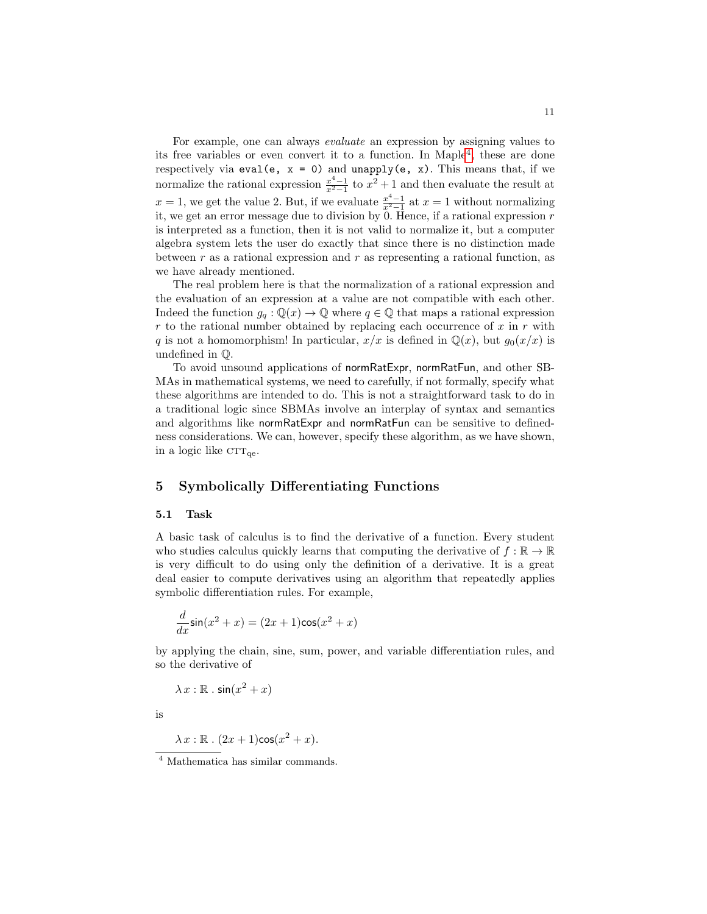For example, one can always evaluate an expression by assigning values to its free variables or even convert it to a function. In Maple[4](#page-10-1) , these are done respectively via eval(e,  $x = 0$ ) and unapply(e,  $x$ ). This means that, if we normalize the rational expression  $\frac{x^4-1}{x^2-1}$  to  $x^2+1$  and then evaluate the result at  $x = 1$ , we get the value 2. But, if we evaluate  $\frac{x^4 - 1}{x^2 - 1}$  at  $x = 1$  without normalizing it, we get an error message due to division by  $\overline{0}$ . Hence, if a rational expression r is interpreted as a function, then it is not valid to normalize it, but a computer algebra system lets the user do exactly that since there is no distinction made between  $r$  as a rational expression and  $r$  as representing a rational function, as we have already mentioned.

The real problem here is that the normalization of a rational expression and the evaluation of an expression at a value are not compatible with each other. Indeed the function  $g_a : \mathbb{Q}(x) \to \mathbb{Q}$  where  $q \in \mathbb{Q}$  that maps a rational expression r to the rational number obtained by replacing each occurrence of  $x$  in  $r$  with q is not a homomorphism! In particular,  $x/x$  is defined in  $\mathbb{Q}(x)$ , but  $g_0(x/x)$  is undefined in Q.

To avoid unsound applications of normRatExpr, normRatFun, and other SB-MAs in mathematical systems, we need to carefully, if not formally, specify what these algorithms are intended to do. This is not a straightforward task to do in a traditional logic since SBMAs involve an interplay of syntax and semantics and algorithms like normRatExpr and normRatFun can be sensitive to definedness considerations. We can, however, specify these algorithm, as we have shown, in a logic like  $CTT_{\text{ge}}$ .

## <span id="page-10-0"></span>5 Symbolically Differentiating Functions

#### 5.1 Task

A basic task of calculus is to find the derivative of a function. Every student who studies calculus quickly learns that computing the derivative of  $f : \mathbb{R} \to \mathbb{R}$ is very difficult to do using only the definition of a derivative. It is a great deal easier to compute derivatives using an algorithm that repeatedly applies symbolic differentiation rules. For example,

$$
\frac{d}{dx}\sin(x^2+x) = (2x+1)\cos(x^2+x)
$$

by applying the chain, sine, sum, power, and variable differentiation rules, and so the derivative of

 $\lambda x : \mathbb{R} \cdot \sin(x^2 + x)$ 

is

$$
\lambda x : \mathbb{R} \cdot (2x+1)\cos(x^2+x).
$$

<span id="page-10-1"></span><sup>4</sup> Mathematica has similar commands.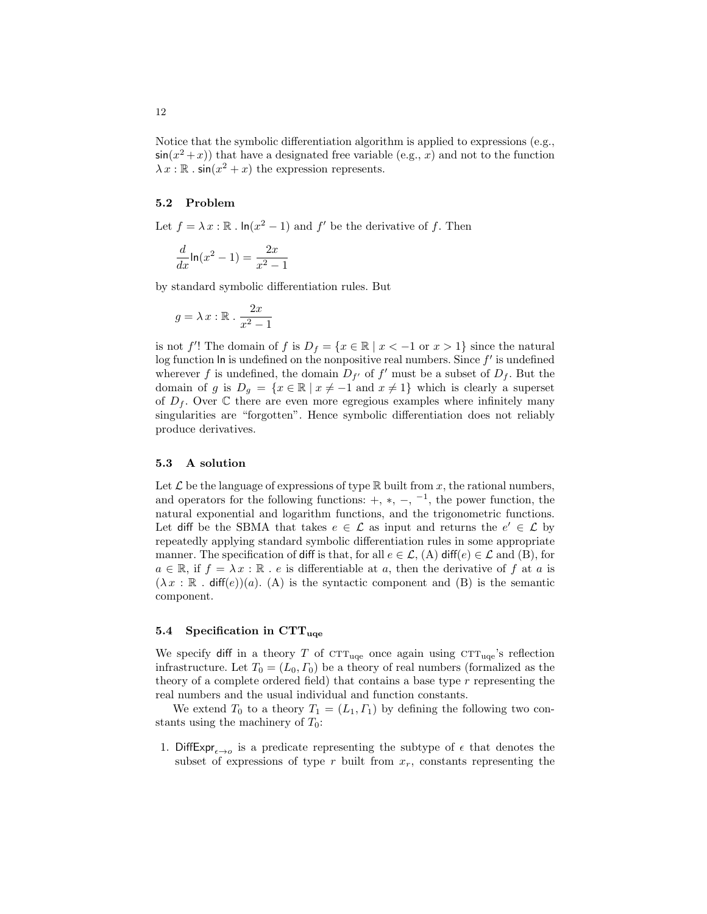Notice that the symbolic differentiation algorithm is applied to expressions (e.g.,  $sin(x^2+x)$  that have a designated free variable (e.g., x) and not to the function  $\lambda x : \mathbb{R} \cdot \sin(x^2 + x)$  the expression represents.

#### 5.2 Problem

Let  $f = \lambda x : \mathbb{R}$ .  $\ln(x^2 - 1)$  and  $f'$  be the derivative of f. Then

$$
\frac{d}{dx}\ln(x^2-1) = \frac{2x}{x^2-1}
$$

by standard symbolic differentiation rules. But

$$
g = \lambda x : \mathbb{R} \cdot \frac{2x}{x^2 - 1}
$$

is not f'! The domain of f is  $D_f = \{x \in \mathbb{R} \mid x < -1 \text{ or } x > 1\}$  since the natural  $log$  function  $ln$  is undefined on the nonpositive real numbers. Since  $f'$  is undefined wherever f is undefined, the domain  $D_{f'}$  of f' must be a subset of  $D_f$ . But the domain of g is  $D_g = \{x \in \mathbb{R} \mid x \neq -1 \text{ and } x \neq 1\}$  which is clearly a superset of  $D_f$ . Over  $\mathbb C$  there are even more egregious examples where infinitely many singularities are "forgotten". Hence symbolic differentiation does not reliably produce derivatives.

#### 5.3 A solution

Let  $\mathcal L$  be the language of expressions of type  $\mathbb R$  built from x, the rational numbers, and operators for the following functions:  $+, *, -,$ <sup>-1</sup>, the power function, the natural exponential and logarithm functions, and the trigonometric functions. Let diff be the SBMA that takes  $e \in \mathcal{L}$  as input and returns the  $e' \in \mathcal{L}$  by repeatedly applying standard symbolic differentiation rules in some appropriate manner. The specification of diff is that, for all  $e \in \mathcal{L}$ , (A) diff(e)  $\in \mathcal{L}$  and (B), for  $a \in \mathbb{R}$ , if  $f = \lambda x : \mathbb{R}$ . e is differentiable at a, then the derivative of f at a is  $(\lambda x : \mathbb{R} \cdot \text{diff}(e))(a)$ . (A) is the syntactic component and (B) is the semantic component.

### 5.4 Specification in  $\text{CTT}_{\text{uae}}$

We specify diff in a theory T of  $CTT_{\text{uqe}}$  once again using  $CTT_{\text{uqe}}$ 's reflection infrastructure. Let  $T_0 = (L_0, \Gamma_0)$  be a theory of real numbers (formalized as the theory of a complete ordered field) that contains a base type  $r$  representing the real numbers and the usual individual and function constants.

We extend  $T_0$  to a theory  $T_1 = (L_1, \Gamma_1)$  by defining the following two constants using the machinery of  $T_0$ :

1. DiffExpr<sub> $\epsilon \rightarrow o$ </sub> is a predicate representing the subtype of  $\epsilon$  that denotes the subset of expressions of type r built from  $x_r$ , constants representing the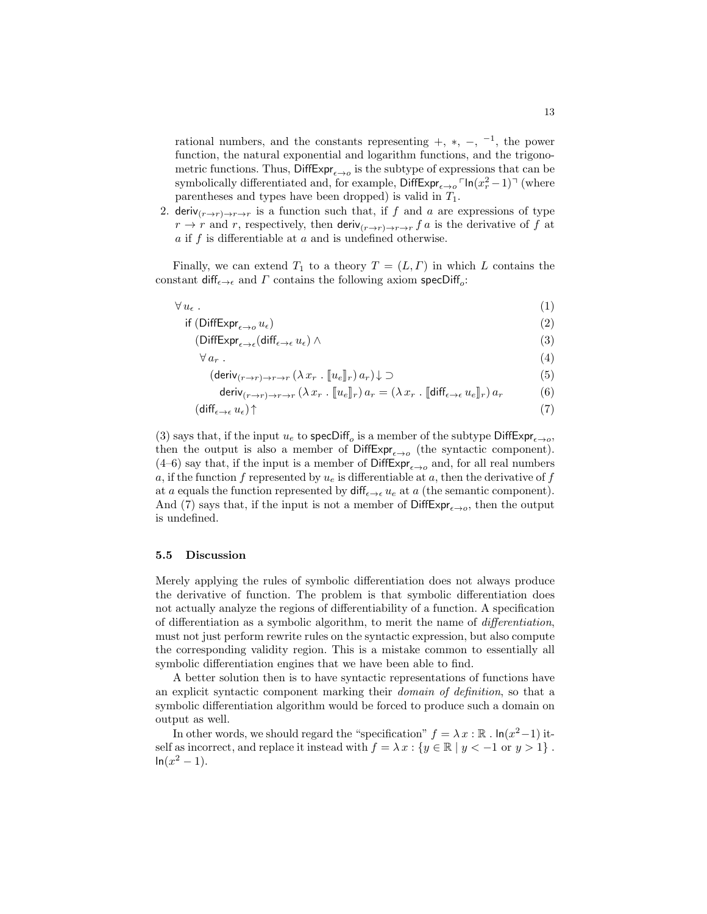rational numbers, and the constants representing  $+$ ,  $*$ ,  $-$ ,  $^{-1}$ , the power function, the natural exponential and logarithm functions, and the trigonometric functions. Thus,  $\mathsf{DiffExpr}_{\epsilon \to o}$  is the subtype of expressions that can be symbolically differentiated and, for example,  $\text{DiffExpr}_{\epsilon \to o} \text{FIn}(x_r^2 - 1)$ <sup> $\text{T}$ </sup> (where parentheses and types have been dropped) is valid in  $T_1$ .

2. deriv $(r\rightarrow r)\rightarrow r\rightarrow r$  is a function such that, if f and a are expressions of type  $r \to r$  and r, respectively, then deriv $_{(r\to r)\to r\to r}$  f a is the derivative of f at  $a$  if  $f$  is differentiable at  $a$  and is undefined otherwise.

Finally, we can extend  $T_1$  to a theory  $T = (L, \Gamma)$  in which L contains the constant  $\mathsf{diff}_{\epsilon \to \epsilon}$  and  $\Gamma$  contains the following axiom specDiff<sub>o</sub>:

$$
\forall u_{\epsilon} . \tag{1}
$$

$$
\text{if } (\text{DiffExpr}_{\epsilon \to o} u_{\epsilon}) \tag{2}
$$

$$
(\text{DiffExpr}_{\epsilon \to \epsilon}(\text{diff}_{\epsilon \to \epsilon} u_{\epsilon}) \wedge \tag{3}
$$

$$
\forall a_r . \tag{4}
$$

$$
(\text{deriv}_{(r \to r) \to r \to r} (\lambda x_r \cdot [\![u_e]\!]_r) a_r) \downarrow \supset
$$
\n(5)

$$
\text{deriv}_{(r \to r) \to r \to r} (\lambda x_r \cdot [ [u_e]_r) a_r = (\lambda x_r \cdot [ [ \text{diff}_{\epsilon \to \epsilon} u_e]_r) a_r \tag{6}
$$

$$
(\text{diff}_{\epsilon \to \epsilon} u_{\epsilon}) \uparrow \tag{7}
$$

(3) says that, if the input  $u_e$  to specDiff<sub>o</sub> is a member of the subtype DiffExpr<sub> $\epsilon \rightarrow o$ </sub>, then the output is also a member of  $\text{DiffExp}_{\epsilon \to o}$  (the syntactic component). (4–6) say that, if the input is a member of  $\text{DiffExp}_{\epsilon \to o}$  and, for all real numbers a, if the function f represented by  $u_e$  is differentiable at a, then the derivative of f at a equals the function represented by  $\text{diff}_{\epsilon \to \epsilon} u_{\epsilon}$  at a (the semantic component). And (7) says that, if the input is not a member of  $\text{DiffExpr}_{\epsilon \to o}$ , then the output is undefined.

## 5.5 Discussion

Merely applying the rules of symbolic differentiation does not always produce the derivative of function. The problem is that symbolic differentiation does not actually analyze the regions of differentiability of a function. A specification of differentiation as a symbolic algorithm, to merit the name of differentiation, must not just perform rewrite rules on the syntactic expression, but also compute the corresponding validity region. This is a mistake common to essentially all symbolic differentiation engines that we have been able to find.

A better solution then is to have syntactic representations of functions have an explicit syntactic component marking their domain of definition, so that a symbolic differentiation algorithm would be forced to produce such a domain on output as well.

In other words, we should regard the "specification"  $f = \lambda x : \mathbb{R}$ .  $\ln(x^2-1)$  itself as incorrect, and replace it instead with  $f = \lambda x : \{y \in \mathbb{R} \mid y < -1 \text{ or } y > 1\}$ .  $ln(x^2 - 1)$ .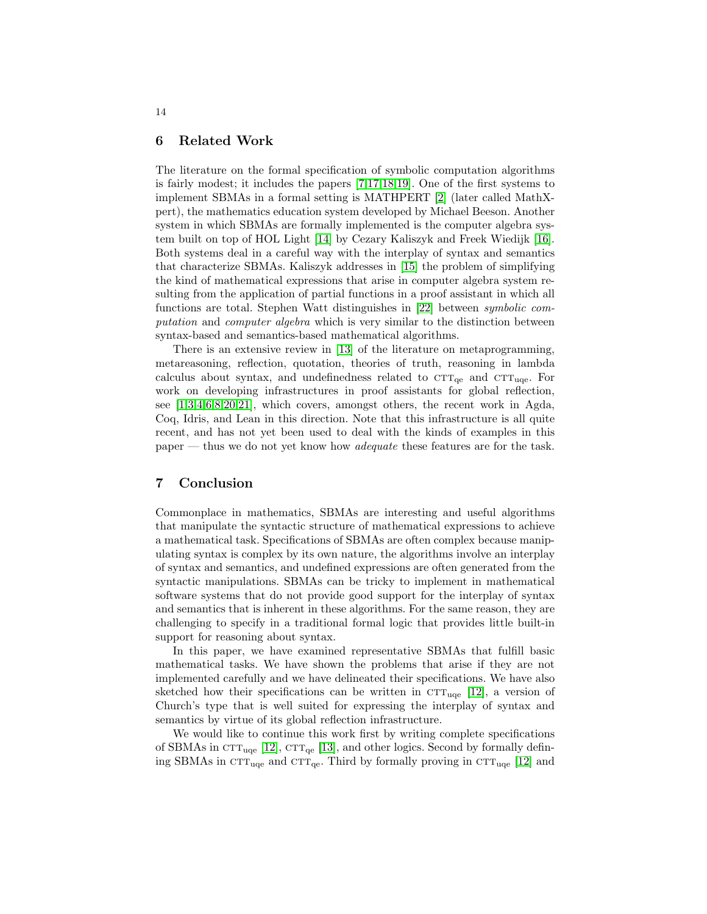## <span id="page-13-0"></span>6 Related Work

The literature on the formal specification of symbolic computation algorithms is fairly modest; it includes the papers [\[7,](#page-14-3)[17](#page-15-4)[,18,](#page-15-5)[19\]](#page-15-6). One of the first systems to implement SBMAs in a formal setting is MATHPERT [\[2\]](#page-14-4) (later called MathXpert), the mathematics education system developed by Michael Beeson. Another system in which SBMAs are formally implemented is the computer algebra system built on top of HOL Light [\[14\]](#page-15-2) by Cezary Kaliszyk and Freek Wiedijk [\[16\]](#page-15-7). Both systems deal in a careful way with the interplay of syntax and semantics that characterize SBMAs. Kaliszyk addresses in [\[15\]](#page-15-8) the problem of simplifying the kind of mathematical expressions that arise in computer algebra system resulting from the application of partial functions in a proof assistant in which all functions are total. Stephen Watt distinguishes in [\[22\]](#page-15-9) between symbolic computation and computer algebra which is very similar to the distinction between syntax-based and semantics-based mathematical algorithms.

There is an extensive review in [\[13\]](#page-15-1) of the literature on metaprogramming, metareasoning, reflection, quotation, theories of truth, reasoning in lambda calculus about syntax, and undefinedness related to  $\text{CTT}_{\text{ge}}$  and  $\text{CTT}_{\text{use}}$ . For work on developing infrastructures in proof assistants for global reflection, see  $[1,3,4,6,8,20,21]$  $[1,3,4,6,8,20,21]$  $[1,3,4,6,8,20,21]$  $[1,3,4,6,8,20,21]$  $[1,3,4,6,8,20,21]$  $[1,3,4,6,8,20,21]$  $[1,3,4,6,8,20,21]$ , which covers, amongst others, the recent work in Agda, Coq, Idris, and Lean in this direction. Note that this infrastructure is all quite recent, and has not yet been used to deal with the kinds of examples in this paper — thus we do not yet know how *adequate* these features are for the task.

# <span id="page-13-1"></span>7 Conclusion

Commonplace in mathematics, SBMAs are interesting and useful algorithms that manipulate the syntactic structure of mathematical expressions to achieve a mathematical task. Specifications of SBMAs are often complex because manipulating syntax is complex by its own nature, the algorithms involve an interplay of syntax and semantics, and undefined expressions are often generated from the syntactic manipulations. SBMAs can be tricky to implement in mathematical software systems that do not provide good support for the interplay of syntax and semantics that is inherent in these algorithms. For the same reason, they are challenging to specify in a traditional formal logic that provides little built-in support for reasoning about syntax.

In this paper, we have examined representative SBMAs that fulfill basic mathematical tasks. We have shown the problems that arise if they are not implemented carefully and we have delineated their specifications. We have also sketched how their specifications can be written in  $\text{CTT}_{\text{uce}}$  [\[12\]](#page-15-0), a version of Church's type that is well suited for expressing the interplay of syntax and semantics by virtue of its global reflection infrastructure.

We would like to continue this work first by writing complete specifications of SBMAs in  $\text{CTT}_{\text{uqe}}$  [\[12\]](#page-15-0),  $\text{CTT}_{\text{qe}}$  [\[13\]](#page-15-1), and other logics. Second by formally defining SBMAs in  $\text{CTT}_{\text{uqe}}$  and  $\text{CTT}_{\text{qe}}$ . Third by formally proving in  $\text{CTT}_{\text{uqe}}$  [\[12\]](#page-15-0) and

14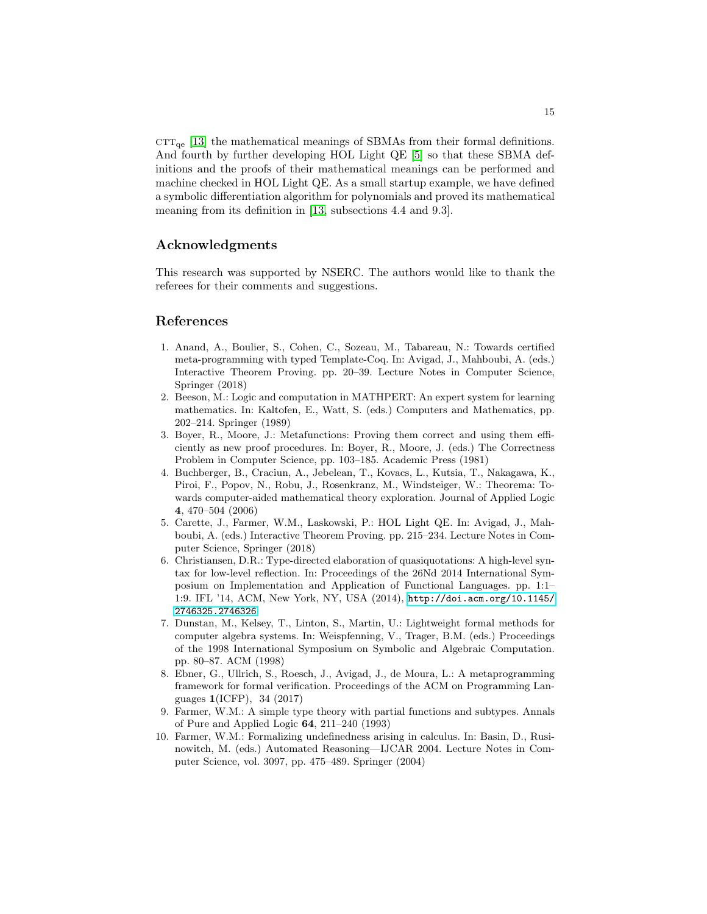$\text{CTT}_{\text{qe}}$  [\[13\]](#page-15-1) the mathematical meanings of SBMAs from their formal definitions. And fourth by further developing HOL Light QE [\[5\]](#page-14-0) so that these SBMA definitions and the proofs of their mathematical meanings can be performed and machine checked in HOL Light QE. As a small startup example, we have defined a symbolic differentiation algorithm for polynomials and proved its mathematical meaning from its definition in [\[13,](#page-15-1) subsections 4.4 and 9.3].

## Acknowledgments

This research was supported by NSERC. The authors would like to thank the referees for their comments and suggestions.

# References

- <span id="page-14-5"></span>1. Anand, A., Boulier, S., Cohen, C., Sozeau, M., Tabareau, N.: Towards certified meta-programming with typed Template-Coq. In: Avigad, J., Mahboubi, A. (eds.) Interactive Theorem Proving. pp. 20–39. Lecture Notes in Computer Science, Springer (2018)
- <span id="page-14-4"></span>2. Beeson, M.: Logic and computation in MATHPERT: An expert system for learning mathematics. In: Kaltofen, E., Watt, S. (eds.) Computers and Mathematics, pp. 202–214. Springer (1989)
- <span id="page-14-6"></span>3. Boyer, R., Moore, J.: Metafunctions: Proving them correct and using them efficiently as new proof procedures. In: Boyer, R., Moore, J. (eds.) The Correctness Problem in Computer Science, pp. 103–185. Academic Press (1981)
- <span id="page-14-7"></span>4. Buchberger, B., Craciun, A., Jebelean, T., Kovacs, L., Kutsia, T., Nakagawa, K., Piroi, F., Popov, N., Robu, J., Rosenkranz, M., Windsteiger, W.: Theorema: Towards computer-aided mathematical theory exploration. Journal of Applied Logic 4, 470–504 (2006)
- <span id="page-14-0"></span>5. Carette, J., Farmer, W.M., Laskowski, P.: HOL Light QE. In: Avigad, J., Mahboubi, A. (eds.) Interactive Theorem Proving. pp. 215–234. Lecture Notes in Computer Science, Springer (2018)
- <span id="page-14-8"></span>6. Christiansen, D.R.: Type-directed elaboration of quasiquotations: A high-level syntax for low-level reflection. In: Proceedings of the 26Nd 2014 International Symposium on Implementation and Application of Functional Languages. pp. 1:1– 1:9. IFL '14, ACM, New York, NY, USA (2014), [http://doi.acm.org/10.1145/](http://doi.acm.org/10.1145/2746325.2746326) [2746325.2746326](http://doi.acm.org/10.1145/2746325.2746326)
- <span id="page-14-3"></span>7. Dunstan, M., Kelsey, T., Linton, S., Martin, U.: Lightweight formal methods for computer algebra systems. In: Weispfenning, V., Trager, B.M. (eds.) Proceedings of the 1998 International Symposium on Symbolic and Algebraic Computation. pp. 80–87. ACM (1998)
- <span id="page-14-9"></span>8. Ebner, G., Ullrich, S., Roesch, J., Avigad, J., de Moura, L.: A metaprogramming framework for formal verification. Proceedings of the ACM on Programming Languages 1(ICFP), 34 (2017)
- <span id="page-14-2"></span>9. Farmer, W.M.: A simple type theory with partial functions and subtypes. Annals of Pure and Applied Logic 64, 211–240 (1993)
- <span id="page-14-1"></span>10. Farmer, W.M.: Formalizing undefinedness arising in calculus. In: Basin, D., Rusinowitch, M. (eds.) Automated Reasoning—IJCAR 2004. Lecture Notes in Computer Science, vol. 3097, pp. 475–489. Springer (2004)